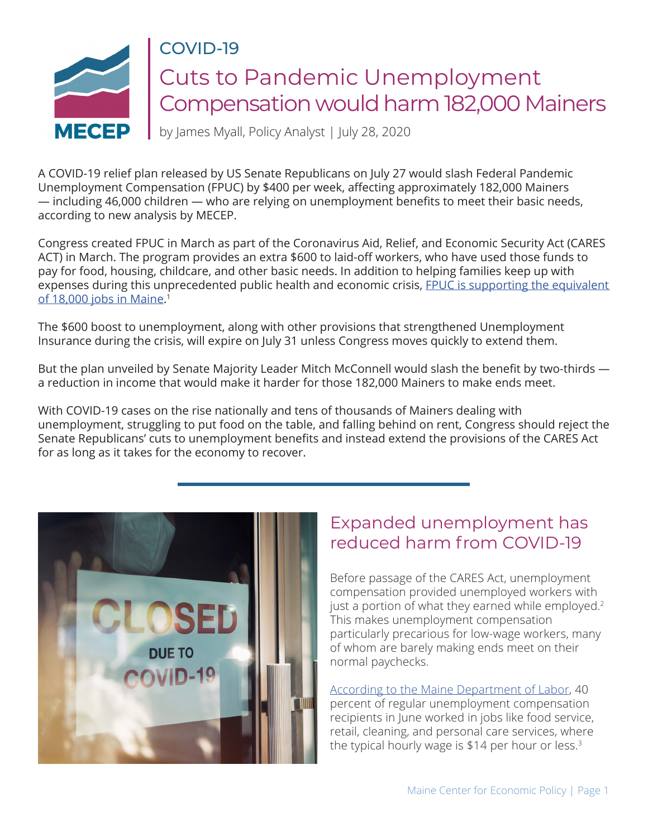

# COVID-19 Cuts to Pandemic Unemployment Compensation would harm 182,000 Mainers

by James Myall, Policy Analyst | July 28, 2020

A COVID-19 relief plan released by US Senate Republicans on July 27 would slash Federal Pandemic Unemployment Compensation (FPUC) by \$400 per week, affecting approximately 182,000 Mainers — including 46,000 children — who are relying on unemployment benefits to meet their basic needs, according to new analysis by MECEP.

Congress created FPUC in March as part of the Coronavirus Aid, Relief, and Economic Security Act (CARES ACT) in March. The program provides an extra \$600 to laid-off workers, who have used those funds to pay for food, housing, childcare, and other basic needs. In addition to helping families keep up with expenses during this unprecedented public health and economic crisis, FPUC is supporting the equivalent [of 18,000 jobs in Maine.](https://www.epi.org/blog/cutting-off-the-600-boost-to-unemployment-benefits-would-be-both-cruel-and-bad-economics-new-personal-income-data-show-just-how-steep-the-coming-fiscal-cliff-will-be/) [1](#page-3-0)

The \$600 boost to unemployment, along with other provisions that strengthened Unemployment Insurance during the crisis, will expire on July 31 unless Congress moves quickly to extend them.

But the plan unveiled by Senate Majority Leader Mitch McConnell would slash the benefit by two-thirds a reduction in income that would make it harder for those 182,000 Mainers to make ends meet.

With COVID-19 cases on the rise nationally and tens of thousands of Mainers dealing with unemployment, struggling to put food on the table, and falling behind on rent, Congress should reject the Senate Republicans' cuts to unemployment benefits and instead extend the provisions of the CARES Act for as long as it takes for the economy to recover.



# Expanded unemployment has reduced harm from COVID-19

Before passage of the CARES Act, unemployment compensation provided unemployed workers with just a portion of what they earned while employed.<sup>2</sup> This makes unemployment compensation particularly precarious for low-wage workers, many of whom are barely making ends meet on their normal paychecks.

[According to the Maine Department of Labor](https://www.maine.gov/labor/cwri/ui.html), 40 percent of regular unemployment compensation recipients in June worked in jobs like food service, retail, cleaning, and personal care services, where the typical hourly wage is \$14 per hour or less.<sup>3</sup>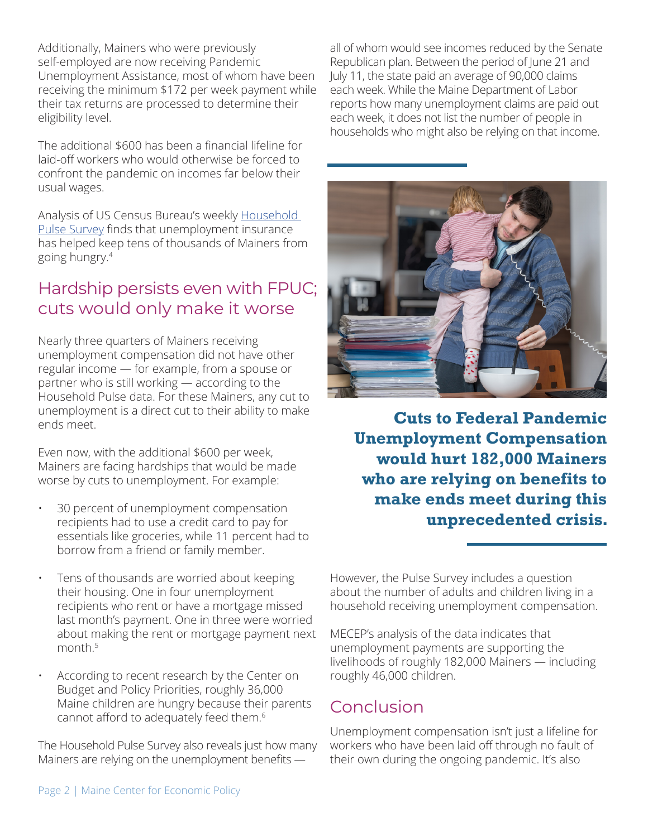<span id="page-1-0"></span>Additionally, Mainers who were previously self-employed are now receiving Pandemic Unemployment Assistance, most of whom have been receiving the minimum \$172 per week payment while their tax returns are processed to determine their eligibility level.

The additional \$600 has been a financial lifeline for laid-off workers who would otherwise be forced to confront the pandemic on incomes far below their usual wages.

Analysis of US Census Bureau's weekly [Household](https://www.census.gov/householdpulsedata)  [Pulse Survey](https://www.census.gov/householdpulsedata) finds that unemployment insurance has helped keep tens of thousands of Mainers from going hungry.[4](#page-3-0)

# Hardship persists even with FPUC; cuts would only make it worse

Nearly three quarters of Mainers receiving unemployment compensation did not have other regular income — for example, from a spouse or partner who is still working — according to the Household Pulse data. For these Mainers, any cut to unemployment is a direct cut to their ability to make ends meet.

Even now, with the additional \$600 per week, Mainers are facing hardships that would be made worse by cuts to unemployment. For example:

- 30 percent of unemployment compensation recipients had to use a credit card to pay for essentials like groceries, while 11 percent had to borrow from a friend or family member.
- Tens of thousands are worried about keeping their housing. One in four unemployment recipients who rent or have a mortgage missed last month's payment. One in three were worried about making the rent or mortgage payment next month<sup>5</sup>
- According to recent research by the Center on Budget and Policy Priorities, roughly 36,000 Maine children are hungry because their parents cannot afford to adequately feed them.[6](#page-3-0)

The Household Pulse Survey also reveals just how many Mainers are relying on the unemployment benefits —

all of whom would see incomes reduced by the Senate Republican plan. Between the period of June 21 and July 11, the state paid an average of 90,000 claims each week. While the Maine Department of Labor reports how many unemployment claims are paid out each week, it does not list the number of people in households who might also be relying on that income.



**Cuts to Federal Pandemic Unemployment Compensation would hurt 182,000 Mainers who are relying on benefits to make ends meet during this unprecedented crisis.**

However, the Pulse Survey includes a question about the number of adults and children living in a household receiving unemployment compensation.

MECEP's analysis of the data indicates that unemployment payments are supporting the livelihoods of roughly 182,000 Mainers — including roughly 46,000 children.

### Conclusion

Unemployment compensation isn't just a lifeline for workers who have been laid off through no fault of their own during the ongoing pandemic. It's also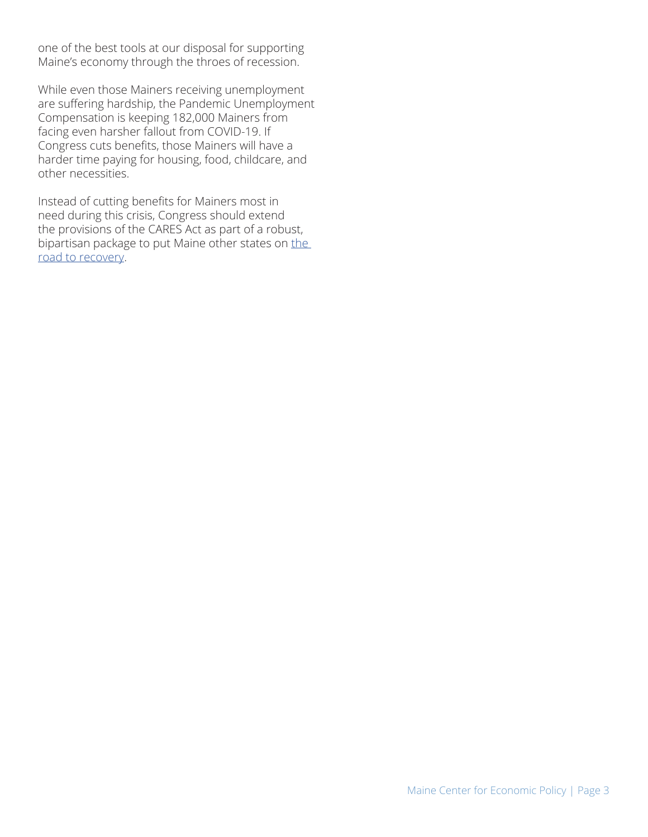one of the best tools at our disposal for supporting Maine's economy through the throes of recession.

While even those Mainers receiving unemployment are suffering hardship, the Pandemic Unemployment Compensation is keeping 182,000 Mainers from facing even harsher fallout from COVID-19. If Congress cuts benefits, those Mainers will have a harder time paying for housing, food, childcare, and other necessities.

Instead of cutting benefits for Mainers most in need during this crisis, Congress should extend the provisions of the CARES Act as part of a robust, bipartisan package to put Maine other states on the [road to recovery](https://www.fundmainesrecovery.com/roadmap-to-recovery).